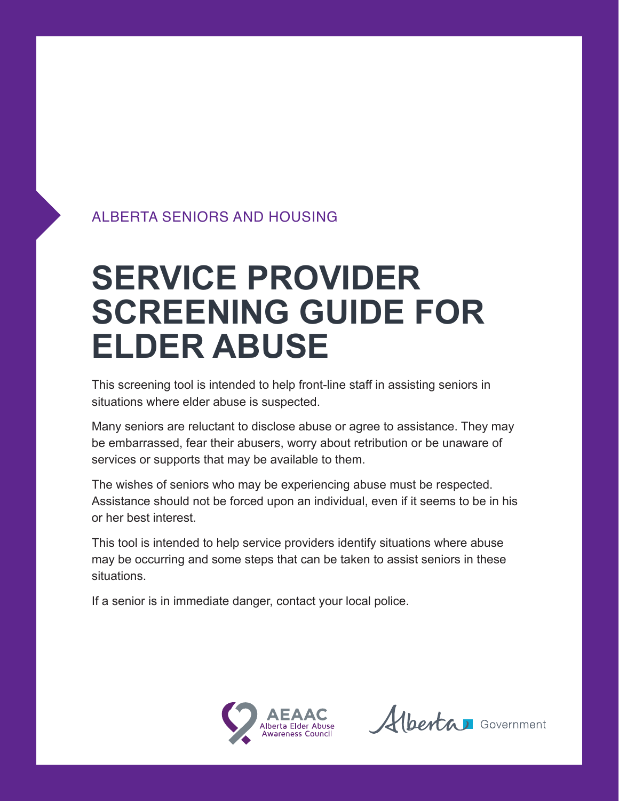### ALBERTA SENIORS AND HOUSING

# **SERVICE PROVIDER SCREENING GUIDE FOR ELDER ABUSE**

This screening tool is intended to help front-line staff in assisting seniors in situations where elder abuse is suspected.

Many seniors are reluctant to disclose abuse or agree to assistance. They may be embarrassed, fear their abusers, worry about retribution or be unaware of services or supports that may be available to them.

The wishes of seniors who may be experiencing abuse must be respected. Assistance should not be forced upon an individual, even if it seems to be in his or her best interest.

This tool is intended to help service providers identify situations where abuse may be occurring and some steps that can be taken to assist seniors in these situations.

If a senior is in immediate danger, contact your local police.



Alberta Government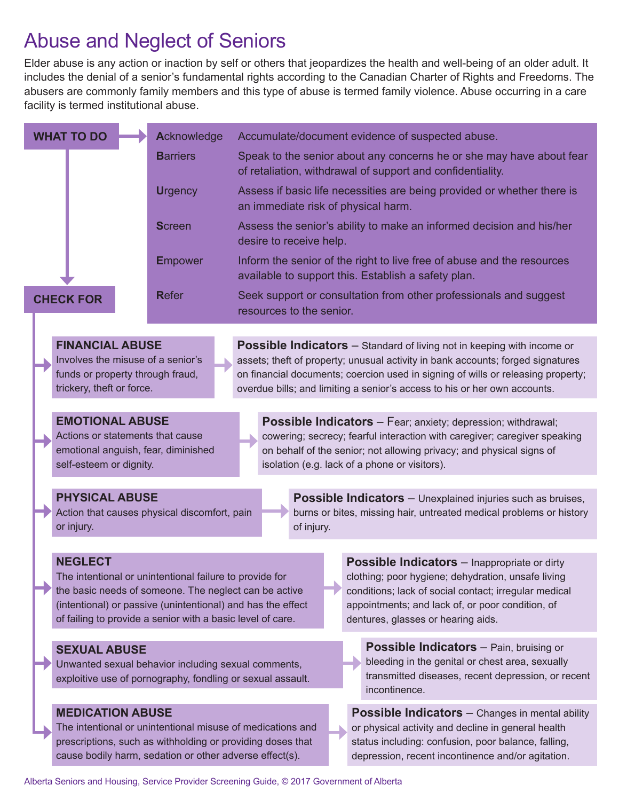### Abuse and Neglect of Seniors

Elder abuse is any action or inaction by self or others that jeopardizes the health and well-being of an older adult. It includes the denial of a senior's fundamental rights according to the Canadian Charter of Rights and Freedoms. The abusers are commonly family members and this type of abuse is termed family violence. Abuse occurring in a care facility is termed institutional abuse.

|                                                                                                                              |  | <b>WHAT TO DO</b>                                                                                                                                                                                                                                                                                                                                                                                                                                                                                                        | Acknowledge     | Accumulate/document evidence of suspected abuse.                                                                                                                                                                                                                                                                                  |
|------------------------------------------------------------------------------------------------------------------------------|--|--------------------------------------------------------------------------------------------------------------------------------------------------------------------------------------------------------------------------------------------------------------------------------------------------------------------------------------------------------------------------------------------------------------------------------------------------------------------------------------------------------------------------|-----------------|-----------------------------------------------------------------------------------------------------------------------------------------------------------------------------------------------------------------------------------------------------------------------------------------------------------------------------------|
|                                                                                                                              |  |                                                                                                                                                                                                                                                                                                                                                                                                                                                                                                                          | <b>Barriers</b> | Speak to the senior about any concerns he or she may have about fear<br>of retaliation, withdrawal of support and confidentiality.                                                                                                                                                                                                |
|                                                                                                                              |  |                                                                                                                                                                                                                                                                                                                                                                                                                                                                                                                          | <b>Urgency</b>  | Assess if basic life necessities are being provided or whether there is<br>an immediate risk of physical harm.                                                                                                                                                                                                                    |
|                                                                                                                              |  |                                                                                                                                                                                                                                                                                                                                                                                                                                                                                                                          | <b>Screen</b>   | Assess the senior's ability to make an informed decision and his/her<br>desire to receive help.                                                                                                                                                                                                                                   |
|                                                                                                                              |  |                                                                                                                                                                                                                                                                                                                                                                                                                                                                                                                          | <b>Empower</b>  | Inform the senior of the right to live free of abuse and the resources<br>available to support this. Establish a safety plan.                                                                                                                                                                                                     |
|                                                                                                                              |  | <b>CHECK FOR</b>                                                                                                                                                                                                                                                                                                                                                                                                                                                                                                         | <b>Refer</b>    | Seek support or consultation from other professionals and suggest<br>resources to the senior.                                                                                                                                                                                                                                     |
|                                                                                                                              |  |                                                                                                                                                                                                                                                                                                                                                                                                                                                                                                                          |                 |                                                                                                                                                                                                                                                                                                                                   |
|                                                                                                                              |  | <b>FINANCIAL ABUSE</b><br>Involves the misuse of a senior's<br>funds or property through fraud,<br>trickery, theft or force.                                                                                                                                                                                                                                                                                                                                                                                             |                 | <b>Possible Indicators</b> - Standard of living not in keeping with income or<br>assets; theft of property; unusual activity in bank accounts; forged signatures<br>on financial documents; coercion used in signing of wills or releasing property;<br>overdue bills; and limiting a senior's access to his or her own accounts. |
|                                                                                                                              |  |                                                                                                                                                                                                                                                                                                                                                                                                                                                                                                                          |                 |                                                                                                                                                                                                                                                                                                                                   |
| <b>EMOTIONAL ABUSE</b><br>Actions or statements that cause<br>emotional anguish, fear, diminished<br>self-esteem or dignity. |  |                                                                                                                                                                                                                                                                                                                                                                                                                                                                                                                          |                 | Possible Indicators - Fear; anxiety; depression; withdrawal;<br>cowering; secrecy; fearful interaction with caregiver; caregiver speaking<br>on behalf of the senior; not allowing privacy; and physical signs of<br>isolation (e.g. lack of a phone or visitors).                                                                |
|                                                                                                                              |  |                                                                                                                                                                                                                                                                                                                                                                                                                                                                                                                          |                 |                                                                                                                                                                                                                                                                                                                                   |
|                                                                                                                              |  | <b>PHYSICAL ABUSE</b><br>Action that causes physical discomfort, pain<br>or injury.                                                                                                                                                                                                                                                                                                                                                                                                                                      |                 | <b>Possible Indicators</b> - Unexplained injuries such as bruises,<br>burns or bites, missing hair, untreated medical problems or history<br>of injury.                                                                                                                                                                           |
|                                                                                                                              |  |                                                                                                                                                                                                                                                                                                                                                                                                                                                                                                                          |                 |                                                                                                                                                                                                                                                                                                                                   |
|                                                                                                                              |  | <b>NEGLECT</b><br>Possible Indicators - Inappropriate or dirty<br>The intentional or unintentional failure to provide for<br>clothing; poor hygiene; dehydration, unsafe living<br>the basic needs of someone. The neglect can be active<br>conditions; lack of social contact; irregular medical<br>(intentional) or passive (unintentional) and has the effect<br>appointments; and lack of, or poor condition, of<br>of failing to provide a senior with a basic level of care.<br>dentures, glasses or hearing aids. |                 |                                                                                                                                                                                                                                                                                                                                   |
|                                                                                                                              |  | <b>SEXUAL ABUSE</b><br>Unwanted sexual behavior including sexual comments,<br>exploitive use of pornography, fondling or sexual assault.                                                                                                                                                                                                                                                                                                                                                                                 |                 | <b>Possible Indicators</b> - Pain, bruising or<br>bleeding in the genital or chest area, sexually<br>transmitted diseases, recent depression, or recent<br>incontinence.                                                                                                                                                          |
|                                                                                                                              |  | <b>MEDICATION ABUSE</b><br><b>Possible Indicators</b> – Changes in mental ability<br>The intentional or unintentional misuse of medications and<br>or physical activity and decline in general health<br>prescriptions, such as withholding or providing doses that<br>status including: confusion, poor balance, falling,<br>cause bodily harm, sedation or other adverse effect(s).<br>depression, recent incontinence and/or agitation.                                                                               |                 |                                                                                                                                                                                                                                                                                                                                   |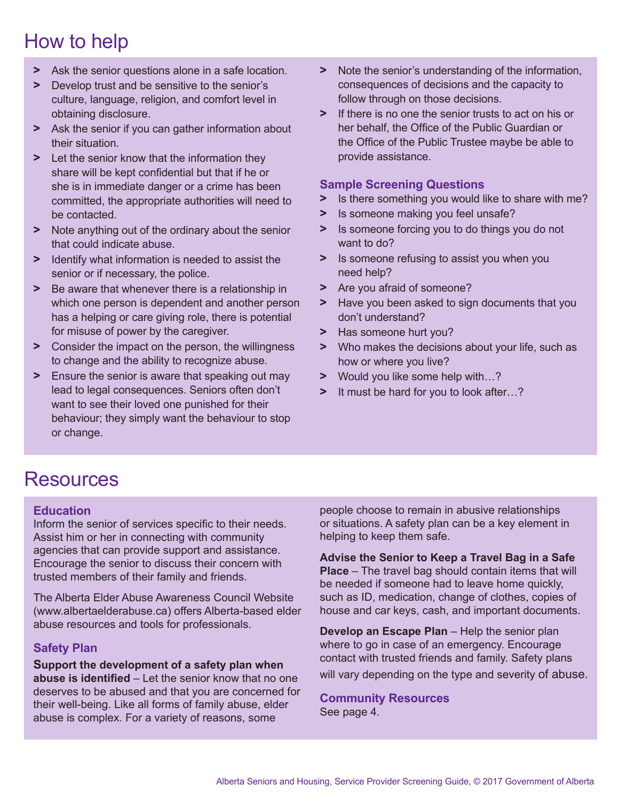# How to help

- **>** Ask the senior questions alone in a safe location.
- **>** Develop trust and be sensitive to the senior's culture, language, religion, and comfort level in obtaining disclosure.
- **>** Ask the senior if you can gather information about their situation.
- **>** Let the senior know that the information they share will be kept confidential but that if he or she is in immediate danger or a crime has been committed, the appropriate authorities will need to be contacted.
- **>** Note anything out of the ordinary about the senior that could indicate abuse.
- **>** Identify what information is needed to assist the senior or if necessary, the police.
- **>** Be aware that whenever there is a relationship in which one person is dependent and another person has a helping or care giving role, there is potential for misuse of power by the caregiver.
- **>** Consider the impact on the person, the willingness to change and the ability to recognize abuse.
- **>** Ensure the senior is aware that speaking out may lead to legal consequences. Seniors often don't want to see their loved one punished for their behaviour; they simply want the behaviour to stop or change.
- **>** Note the senior's understanding of the information, consequences of decisions and the capacity to follow through on those decisions.
- **>** If there is no one the senior trusts to act on his or her behalf, the Office of the Public Guardian or the Office of the Public Trustee maybe be able to provide assistance.

#### **Sample Screening Questions**

- **>** Is there something you would like to share with me?
- **>** Is someone making you feel unsafe?
- **>** Is someone forcing you to do things you do not want to do?
- **>** Is someone refusing to assist you when you need help?
- **>** Are you afraid of someone?
- **>** Have you been asked to sign documents that you don't understand?
- **>** Has someone hurt you?
- **>** Who makes the decisions about your life, such as how or where you live?
- **>** Would you like some help with…?
- **>** It must be hard for you to look after…?

### Resources

#### **Education**

Inform the senior of services specific to their needs. Assist him or her in connecting with community agencies that can provide support and assistance. Encourage the senior to discuss their concern with trusted members of their family and friends.

The Alberta Elder Abuse Awareness Council Website (www.albertaelderabuse.ca) offers Alberta-based elder abuse resources and tools for professionals.

#### **Safety Plan**

**Support the development of a safety plan when abuse is identified** – Let the senior know that no one deserves to be abused and that you are concerned for their well-being. Like all forms of family abuse, elder abuse is complex. For a variety of reasons, some

people choose to remain in abusive relationships or situations. A safety plan can be a key element in helping to keep them safe.

**Advise the Senior to Keep a Travel Bag in a Safe Place** – The travel bag should contain items that will be needed if someone had to leave home quickly, such as ID, medication, change of clothes, copies of house and car keys, cash, and important documents.

**Develop an Escape Plan** – Help the senior plan where to go in case of an emergency. Encourage contact with trusted friends and family. Safety plans will vary depending on the type and severity of abuse.

**Community Resources** See page 4.